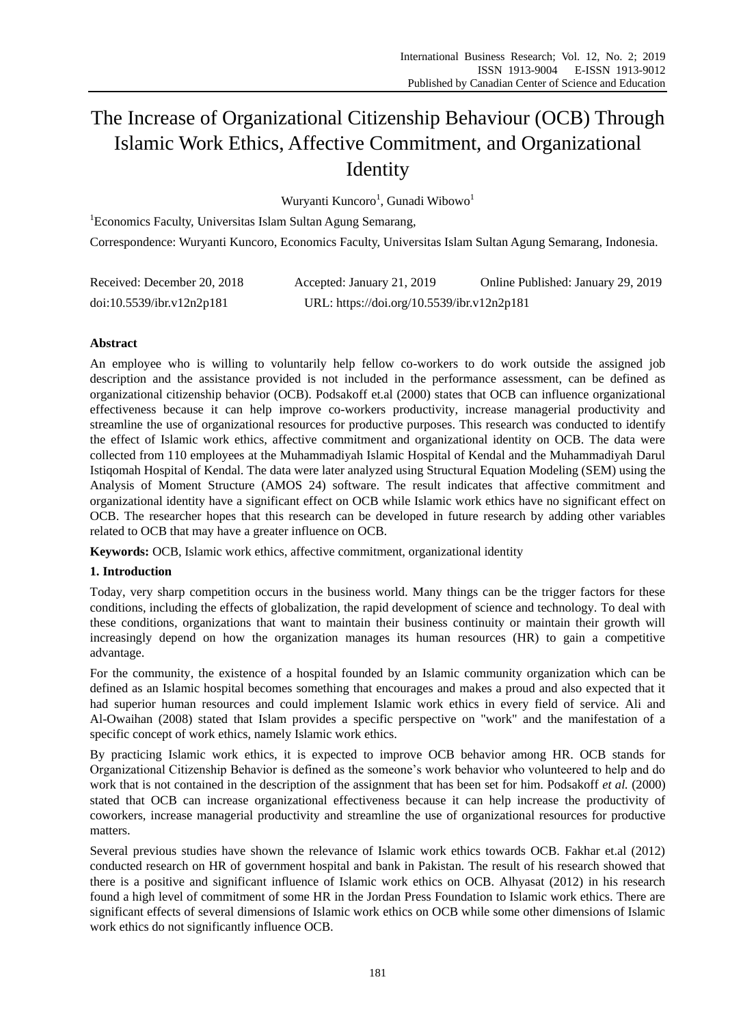# The Increase of Organizational Citizenship Behaviour (OCB) Through Islamic Work Ethics, Affective Commitment, and Organizational **Identity**

Wuryanti Kuncoro<sup>1</sup>, Gunadi Wibowo<sup>1</sup>

<sup>1</sup>Economics Faculty, Universitas Islam Sultan Agung Semarang, Correspondence: Wuryanti Kuncoro, Economics Faculty, Universitas Islam Sultan Agung Semarang, Indonesia.

| Received: December 20, 2018 | Accepted: January 21, 2019                 | Online Published: January 29, 2019 |
|-----------------------------|--------------------------------------------|------------------------------------|
| doi:10.5539/ibr.v12n2p181   | URL: https://doi.org/10.5539/ibr.v12n2p181 |                                    |

# **Abstract**

An employee who is willing to voluntarily help fellow co-workers to do work outside the assigned job description and the assistance provided is not included in the performance assessment, can be defined as organizational citizenship behavior (OCB). Podsakoff et.al (2000) states that OCB can influence organizational effectiveness because it can help improve co-workers productivity, increase managerial productivity and streamline the use of organizational resources for productive purposes. This research was conducted to identify the effect of Islamic work ethics, affective commitment and organizational identity on OCB. The data were collected from 110 employees at the Muhammadiyah Islamic Hospital of Kendal and the Muhammadiyah Darul Istiqomah Hospital of Kendal. The data were later analyzed using Structural Equation Modeling (SEM) using the Analysis of Moment Structure (AMOS 24) software. The result indicates that affective commitment and organizational identity have a significant effect on OCB while Islamic work ethics have no significant effect on OCB. The researcher hopes that this research can be developed in future research by adding other variables related to OCB that may have a greater influence on OCB.

**Keywords:** OCB, Islamic work ethics, affective commitment, organizational identity

# **1. Introduction**

Today, very sharp competition occurs in the business world. Many things can be the trigger factors for these conditions, including the effects of globalization, the rapid development of science and technology. To deal with these conditions, organizations that want to maintain their business continuity or maintain their growth will increasingly depend on how the organization manages its human resources (HR) to gain a competitive advantage.

For the community, the existence of a hospital founded by an Islamic community organization which can be defined as an Islamic hospital becomes something that encourages and makes a proud and also expected that it had superior human resources and could implement Islamic work ethics in every field of service. Ali and Al-Owaihan (2008) stated that Islam provides a specific perspective on "work" and the manifestation of a specific concept of work ethics, namely Islamic work ethics.

By practicing Islamic work ethics, it is expected to improve OCB behavior among HR. OCB stands for Organizational Citizenship Behavior is defined as the someone's work behavior who volunteered to help and do work that is not contained in the description of the assignment that has been set for him. Podsakoff *et al.* (2000) stated that OCB can increase organizational effectiveness because it can help increase the productivity of coworkers, increase managerial productivity and streamline the use of organizational resources for productive matters.

Several previous studies have shown the relevance of Islamic work ethics towards OCB. Fakhar et.al (2012) conducted research on HR of government hospital and bank in Pakistan. The result of his research showed that there is a positive and significant influence of Islamic work ethics on OCB. Alhyasat (2012) in his research found a high level of commitment of some HR in the Jordan Press Foundation to Islamic work ethics. There are significant effects of several dimensions of Islamic work ethics on OCB while some other dimensions of Islamic work ethics do not significantly influence OCB.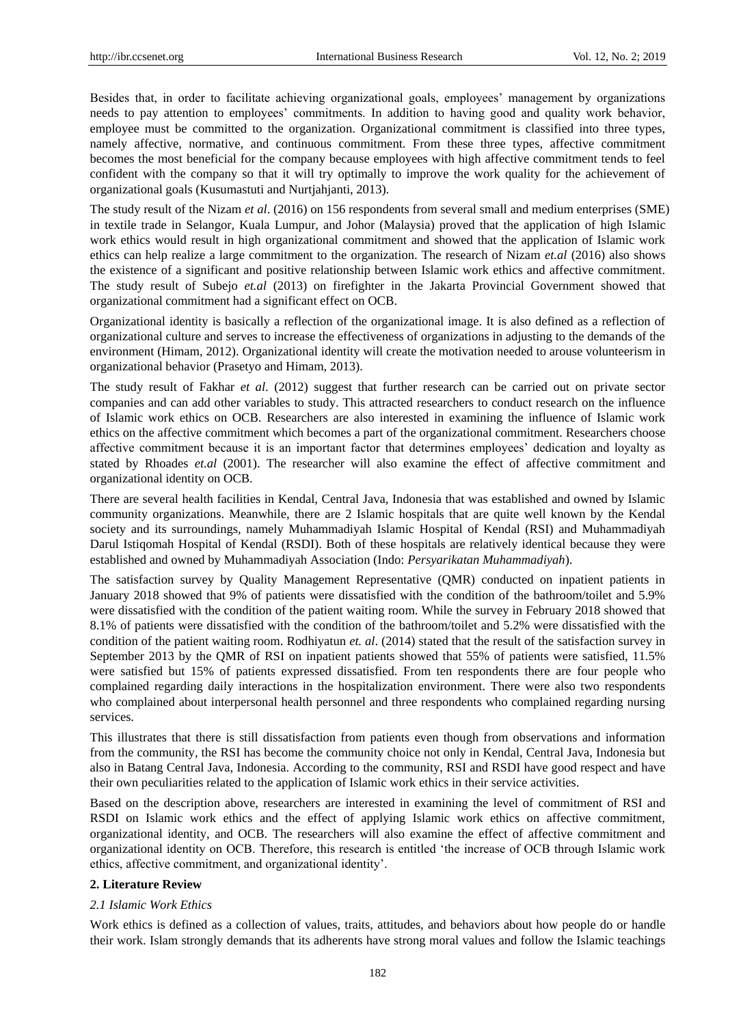Besides that, in order to facilitate achieving organizational goals, employees' management by organizations needs to pay attention to employees' commitments. In addition to having good and quality work behavior, employee must be committed to the organization. Organizational commitment is classified into three types, namely affective, normative, and continuous commitment. From these three types, affective commitment becomes the most beneficial for the company because employees with high affective commitment tends to feel confident with the company so that it will try optimally to improve the work quality for the achievement of organizational goals (Kusumastuti and Nurtjahjanti, 2013).

The study result of the Nizam *et al*. (2016) on 156 respondents from several small and medium enterprises (SME) in textile trade in Selangor, Kuala Lumpur, and Johor (Malaysia) proved that the application of high Islamic work ethics would result in high organizational commitment and showed that the application of Islamic work ethics can help realize a large commitment to the organization. The research of Nizam *et.al* (2016) also shows the existence of a significant and positive relationship between Islamic work ethics and affective commitment. The study result of Subejo *et.al* (2013) on firefighter in the Jakarta Provincial Government showed that organizational commitment had a significant effect on OCB.

Organizational identity is basically a reflection of the organizational image. It is also defined as a reflection of organizational culture and serves to increase the effectiveness of organizations in adjusting to the demands of the environment (Himam, 2012). Organizational identity will create the motivation needed to arouse volunteerism in organizational behavior (Prasetyo and Himam, 2013).

The study result of Fakhar *et al*. (2012) suggest that further research can be carried out on private sector companies and can add other variables to study. This attracted researchers to conduct research on the influence of Islamic work ethics on OCB. Researchers are also interested in examining the influence of Islamic work ethics on the affective commitment which becomes a part of the organizational commitment. Researchers choose affective commitment because it is an important factor that determines employees' dedication and loyalty as stated by Rhoades *et.al* (2001). The researcher will also examine the effect of affective commitment and organizational identity on OCB.

There are several health facilities in Kendal, Central Java, Indonesia that was established and owned by Islamic community organizations. Meanwhile, there are 2 Islamic hospitals that are quite well known by the Kendal society and its surroundings, namely Muhammadiyah Islamic Hospital of Kendal (RSI) and Muhammadiyah Darul Istiqomah Hospital of Kendal (RSDI). Both of these hospitals are relatively identical because they were established and owned by Muhammadiyah Association (Indo: *Persyarikatan Muhammadiyah*).

The satisfaction survey by Quality Management Representative (QMR) conducted on inpatient patients in January 2018 showed that 9% of patients were dissatisfied with the condition of the bathroom/toilet and 5.9% were dissatisfied with the condition of the patient waiting room. While the survey in February 2018 showed that 8.1% of patients were dissatisfied with the condition of the bathroom/toilet and 5.2% were dissatisfied with the condition of the patient waiting room. Rodhiyatun *et. al*. (2014) stated that the result of the satisfaction survey in September 2013 by the QMR of RSI on inpatient patients showed that 55% of patients were satisfied, 11.5% were satisfied but 15% of patients expressed dissatisfied. From ten respondents there are four people who complained regarding daily interactions in the hospitalization environment. There were also two respondents who complained about interpersonal health personnel and three respondents who complained regarding nursing services.

This illustrates that there is still dissatisfaction from patients even though from observations and information from the community, the RSI has become the community choice not only in Kendal, Central Java, Indonesia but also in Batang Central Java, Indonesia. According to the community, RSI and RSDI have good respect and have their own peculiarities related to the application of Islamic work ethics in their service activities.

Based on the description above, researchers are interested in examining the level of commitment of RSI and RSDI on Islamic work ethics and the effect of applying Islamic work ethics on affective commitment, organizational identity, and OCB. The researchers will also examine the effect of affective commitment and organizational identity on OCB. Therefore, this research is entitled 'the increase of OCB through Islamic work ethics, affective commitment, and organizational identity'.

## **2. Literature Review**

## *2.1 Islamic Work Ethics*

Work ethics is defined as a collection of values, traits, attitudes, and behaviors about how people do or handle their work. Islam strongly demands that its adherents have strong moral values and follow the Islamic teachings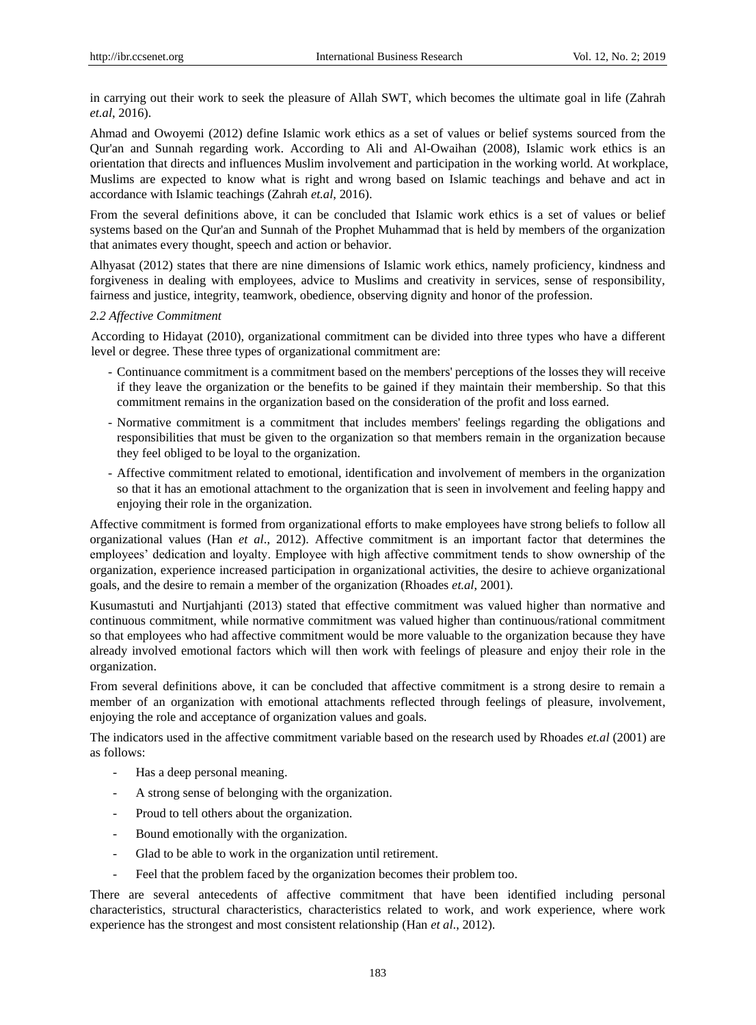in carrying out their work to seek the pleasure of Allah SWT, which becomes the ultimate goal in life (Zahrah *et.al*, 2016).

Ahmad and Owoyemi (2012) define Islamic work ethics as a set of values or belief systems sourced from the Qur'an and Sunnah regarding work. According to Ali and Al-Owaihan (2008), Islamic work ethics is an orientation that directs and influences Muslim involvement and participation in the working world. At workplace, Muslims are expected to know what is right and wrong based on Islamic teachings and behave and act in accordance with Islamic teachings (Zahrah *et.al*, 2016).

From the several definitions above, it can be concluded that Islamic work ethics is a set of values or belief systems based on the Qur'an and Sunnah of the Prophet Muhammad that is held by members of the organization that animates every thought, speech and action or behavior.

Alhyasat (2012) states that there are nine dimensions of Islamic work ethics, namely proficiency, kindness and forgiveness in dealing with employees, advice to Muslims and creativity in services, sense of responsibility, fairness and justice, integrity, teamwork, obedience, observing dignity and honor of the profession.

## *2.2 Affective Commitment*

According to Hidayat (2010), organizational commitment can be divided into three types who have a different level or degree. These three types of organizational commitment are:

- Continuance commitment is a commitment based on the members' perceptions of the losses they will receive if they leave the organization or the benefits to be gained if they maintain their membership. So that this commitment remains in the organization based on the consideration of the profit and loss earned.
- Normative commitment is a commitment that includes members' feelings regarding the obligations and responsibilities that must be given to the organization so that members remain in the organization because they feel obliged to be loyal to the organization.
- Affective commitment related to emotional, identification and involvement of members in the organization so that it has an emotional attachment to the organization that is seen in involvement and feeling happy and enjoying their role in the organization.

Affective commitment is formed from organizational efforts to make employees have strong beliefs to follow all organizational values (Han *et al*., 2012). Affective commitment is an important factor that determines the employees' dedication and loyalty. Employee with high affective commitment tends to show ownership of the organization, experience increased participation in organizational activities, the desire to achieve organizational goals, and the desire to remain a member of the organization (Rhoades *et.al*, 2001).

Kusumastuti and Nurtjahjanti (2013) stated that effective commitment was valued higher than normative and continuous commitment, while normative commitment was valued higher than continuous/rational commitment so that employees who had affective commitment would be more valuable to the organization because they have already involved emotional factors which will then work with feelings of pleasure and enjoy their role in the organization.

From several definitions above, it can be concluded that affective commitment is a strong desire to remain a member of an organization with emotional attachments reflected through feelings of pleasure, involvement, enjoying the role and acceptance of organization values and goals.

The indicators used in the affective commitment variable based on the research used by Rhoades *et.al* (2001) are as follows:

- Has a deep personal meaning.
- A strong sense of belonging with the organization.
- Proud to tell others about the organization.
- Bound emotionally with the organization.
- Glad to be able to work in the organization until retirement.
- Feel that the problem faced by the organization becomes their problem too.

There are several antecedents of affective commitment that have been identified including personal characteristics, structural characteristics, characteristics related to work, and work experience, where work experience has the strongest and most consistent relationship (Han *et al*., 2012).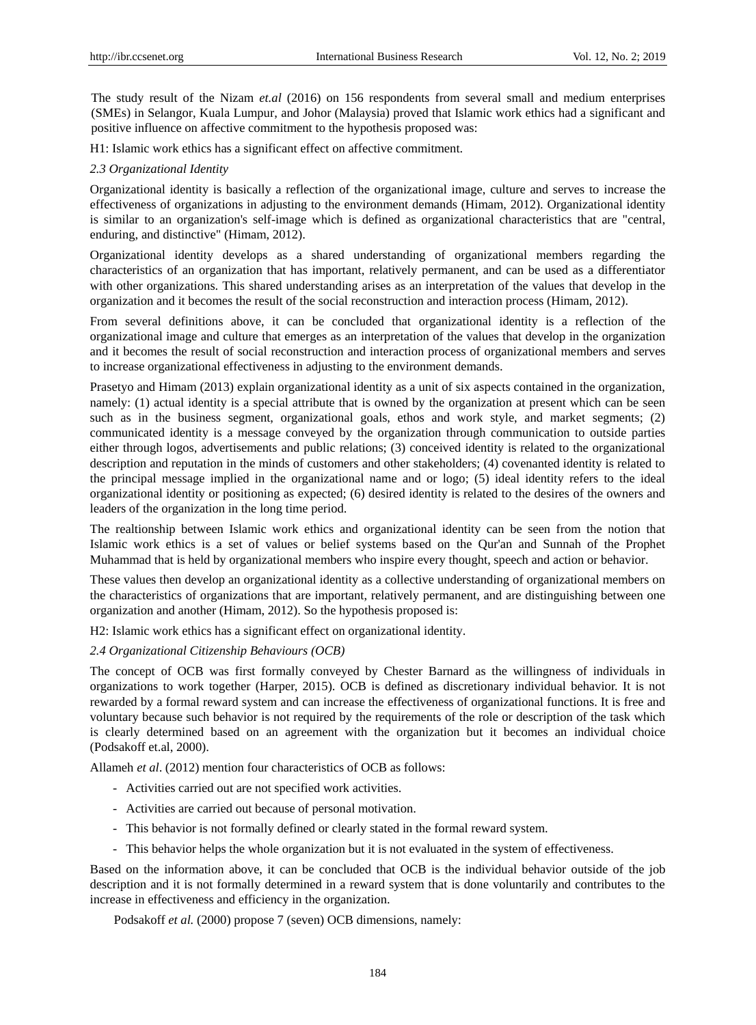The study result of the Nizam *et.al* (2016) on 156 respondents from several small and medium enterprises (SMEs) in Selangor, Kuala Lumpur, and Johor (Malaysia) proved that Islamic work ethics had a significant and positive influence on affective commitment to the hypothesis proposed was:

H1: Islamic work ethics has a significant effect on affective commitment.

## *2.3 Organizational Identity*

Organizational identity is basically a reflection of the organizational image, culture and serves to increase the effectiveness of organizations in adjusting to the environment demands (Himam, 2012). Organizational identity is similar to an organization's self-image which is defined as organizational characteristics that are "central, enduring, and distinctive" (Himam, 2012).

Organizational identity develops as a shared understanding of organizational members regarding the characteristics of an organization that has important, relatively permanent, and can be used as a differentiator with other organizations. This shared understanding arises as an interpretation of the values that develop in the organization and it becomes the result of the social reconstruction and interaction process (Himam, 2012).

From several definitions above, it can be concluded that organizational identity is a reflection of the organizational image and culture that emerges as an interpretation of the values that develop in the organization and it becomes the result of social reconstruction and interaction process of organizational members and serves to increase organizational effectiveness in adjusting to the environment demands.

Prasetyo and Himam (2013) explain organizational identity as a unit of six aspects contained in the organization, namely: (1) actual identity is a special attribute that is owned by the organization at present which can be seen such as in the business segment, organizational goals, ethos and work style, and market segments; (2) communicated identity is a message conveyed by the organization through communication to outside parties either through logos, advertisements and public relations; (3) conceived identity is related to the organizational description and reputation in the minds of customers and other stakeholders; (4) covenanted identity is related to the principal message implied in the organizational name and or logo; (5) ideal identity refers to the ideal organizational identity or positioning as expected; (6) desired identity is related to the desires of the owners and leaders of the organization in the long time period.

The realtionship between Islamic work ethics and organizational identity can be seen from the notion that Islamic work ethics is a set of values or belief systems based on the Qur'an and Sunnah of the Prophet Muhammad that is held by organizational members who inspire every thought, speech and action or behavior.

These values then develop an organizational identity as a collective understanding of organizational members on the characteristics of organizations that are important, relatively permanent, and are distinguishing between one organization and another (Himam, 2012). So the hypothesis proposed is:

H2: Islamic work ethics has a significant effect on organizational identity.

## *2.4 Organizational Citizenship Behaviours (OCB)*

The concept of OCB was first formally conveyed by Chester Barnard as the willingness of individuals in organizations to work together (Harper, 2015). OCB is defined as discretionary individual behavior. It is not rewarded by a formal reward system and can increase the effectiveness of organizational functions. It is free and voluntary because such behavior is not required by the requirements of the role or description of the task which is clearly determined based on an agreement with the organization but it becomes an individual choice (Podsakoff et.al, 2000).

Allameh *et al*. (2012) mention four characteristics of OCB as follows:

- Activities carried out are not specified work activities.
- Activities are carried out because of personal motivation.
- This behavior is not formally defined or clearly stated in the formal reward system.
- This behavior helps the whole organization but it is not evaluated in the system of effectiveness.

Based on the information above, it can be concluded that OCB is the individual behavior outside of the job description and it is not formally determined in a reward system that is done voluntarily and contributes to the increase in effectiveness and efficiency in the organization.

Podsakoff *et al.* (2000) propose 7 (seven) OCB dimensions, namely: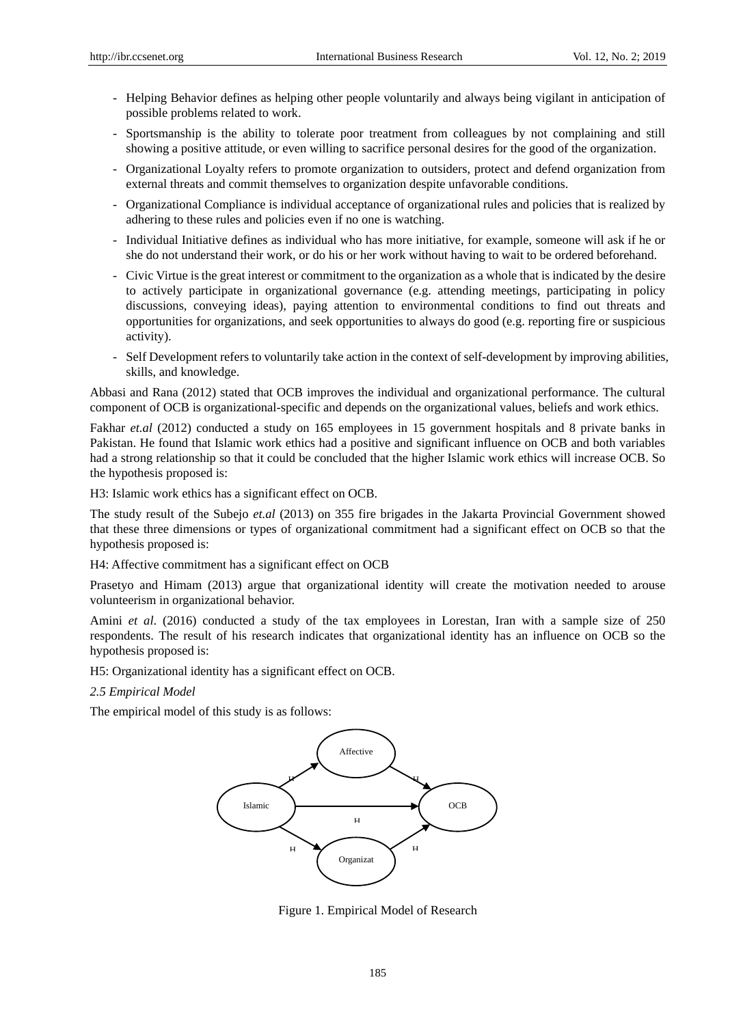- Helping Behavior defines as helping other people voluntarily and always being vigilant in anticipation of possible problems related to work.
- Sportsmanship is the ability to tolerate poor treatment from colleagues by not complaining and still showing a positive attitude, or even willing to sacrifice personal desires for the good of the organization.
- Organizational Loyalty refers to promote organization to outsiders, protect and defend organization from external threats and commit themselves to organization despite unfavorable conditions.
- Organizational Compliance is individual acceptance of organizational rules and policies that is realized by adhering to these rules and policies even if no one is watching.
- Individual Initiative defines as individual who has more initiative, for example, someone will ask if he or she do not understand their work, or do his or her work without having to wait to be ordered beforehand.
- Civic Virtue is the great interest or commitment to the organization as a whole that is indicated by the desire to actively participate in organizational governance (e.g. attending meetings, participating in policy discussions, conveying ideas), paying attention to environmental conditions to find out threats and opportunities for organizations, and seek opportunities to always do good (e.g. reporting fire or suspicious activity).
- Self Development refers to voluntarily take action in the context of self-development by improving abilities, skills, and knowledge.

Abbasi and Rana (2012) stated that OCB improves the individual and organizational performance. The cultural component of OCB is organizational-specific and depends on the organizational values, beliefs and work ethics.

Fakhar *et.al* (2012) conducted a study on 165 employees in 15 government hospitals and 8 private banks in Pakistan. He found that Islamic work ethics had a positive and significant influence on OCB and both variables had a strong relationship so that it could be concluded that the higher Islamic work ethics will increase OCB. So the hypothesis proposed is:

H3: Islamic work ethics has a significant effect on OCB.

The study result of the Subejo *et.al* (2013) on 355 fire brigades in the Jakarta Provincial Government showed that these three dimensions or types of organizational commitment had a significant effect on OCB so that the hypothesis proposed is:

H4: Affective commitment has a significant effect on OCB

Prasetyo and Himam (2013) argue that organizational identity will create the motivation needed to arouse volunteerism in organizational behavior.

Amini *et al*. (2016) conducted a study of the tax employees in Lorestan, Iran with a sample size of 250 respondents. The result of his research indicates that organizational identity has an influence on OCB so the hypothesis proposed is:

H5: Organizational identity has a significant effect on OCB.

#### *2.5 Empirical Model*

The empirical model of this study is as follows:



Figure 1. Empirical Model of Research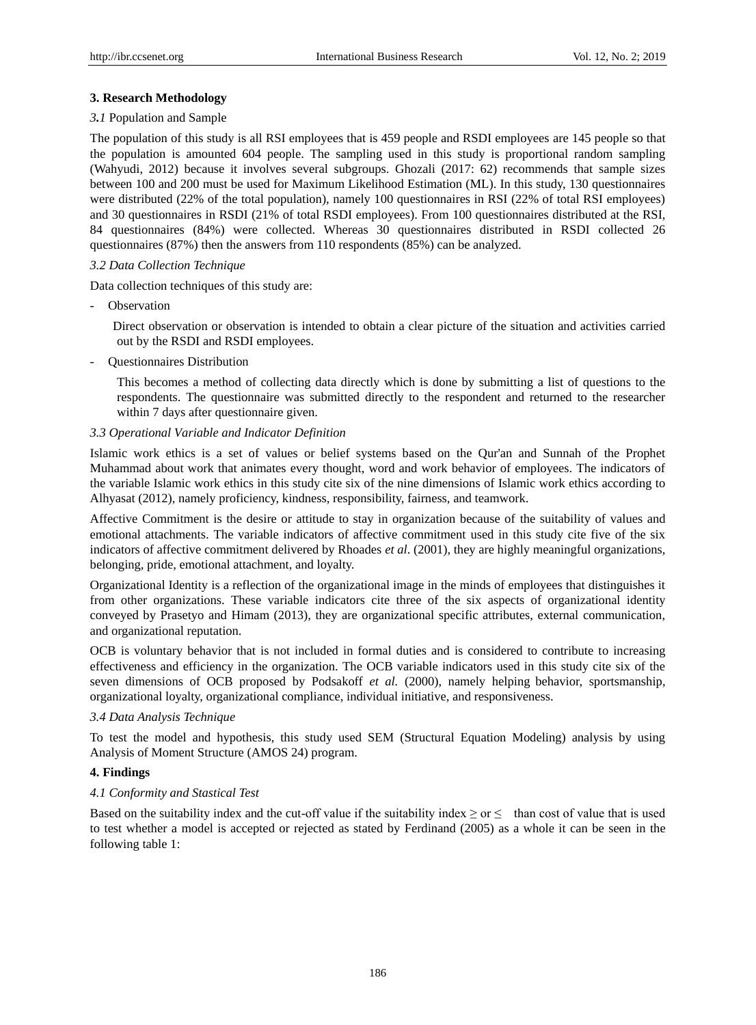# **3. Research Methodology**

## *3.1* Population and Sample

The population of this study is all RSI employees that is 459 people and RSDI employees are 145 people so that the population is amounted 604 people. The sampling used in this study is proportional random sampling (Wahyudi, 2012) because it involves several subgroups. Ghozali (2017: 62) recommends that sample sizes between 100 and 200 must be used for Maximum Likelihood Estimation (ML). In this study, 130 questionnaires were distributed (22% of the total population), namely 100 questionnaires in RSI (22% of total RSI employees) and 30 questionnaires in RSDI (21% of total RSDI employees). From 100 questionnaires distributed at the RSI, 84 questionnaires (84%) were collected. Whereas 30 questionnaires distributed in RSDI collected 26 questionnaires (87%) then the answers from 110 respondents (85%) can be analyzed.

# *3.2 Data Collection Technique*

Data collection techniques of this study are:

**Observation** 

Direct observation or observation is intended to obtain a clear picture of the situation and activities carried out by the RSDI and RSDI employees.

- Questionnaires Distribution

This becomes a method of collecting data directly which is done by submitting a list of questions to the respondents. The questionnaire was submitted directly to the respondent and returned to the researcher within 7 days after questionnaire given.

# *3.3 Operational Variable and Indicator Definition*

Islamic work ethics is a set of values or belief systems based on the Qur'an and Sunnah of the Prophet Muhammad about work that animates every thought, word and work behavior of employees. The indicators of the variable Islamic work ethics in this study cite six of the nine dimensions of Islamic work ethics according to Alhyasat (2012), namely proficiency, kindness, responsibility, fairness, and teamwork.

Affective Commitment is the desire or attitude to stay in organization because of the suitability of values and emotional attachments. The variable indicators of affective commitment used in this study cite five of the six indicators of affective commitment delivered by Rhoades *et al*. (2001), they are highly meaningful organizations, belonging, pride, emotional attachment, and loyalty.

Organizational Identity is a reflection of the organizational image in the minds of employees that distinguishes it from other organizations. These variable indicators cite three of the six aspects of organizational identity conveyed by Prasetyo and Himam (2013), they are organizational specific attributes, external communication, and organizational reputation.

OCB is voluntary behavior that is not included in formal duties and is considered to contribute to increasing effectiveness and efficiency in the organization. The OCB variable indicators used in this study cite six of the seven dimensions of OCB proposed by Podsakoff *et al.* (2000), namely helping behavior, sportsmanship, organizational loyalty, organizational compliance, individual initiative, and responsiveness.

## *3.4 Data Analysis Technique*

To test the model and hypothesis, this study used SEM (Structural Equation Modeling) analysis by using Analysis of Moment Structure (AMOS 24) program.

# **4. Findings**

# *4.1 Conformity and Stastical Test*

Based on the suitability index and the cut-off value if the suitability index  $\geq$  or  $\leq$  than cost of value that is used to test whether a model is accepted or rejected as stated by Ferdinand (2005) as a whole it can be seen in the following table 1: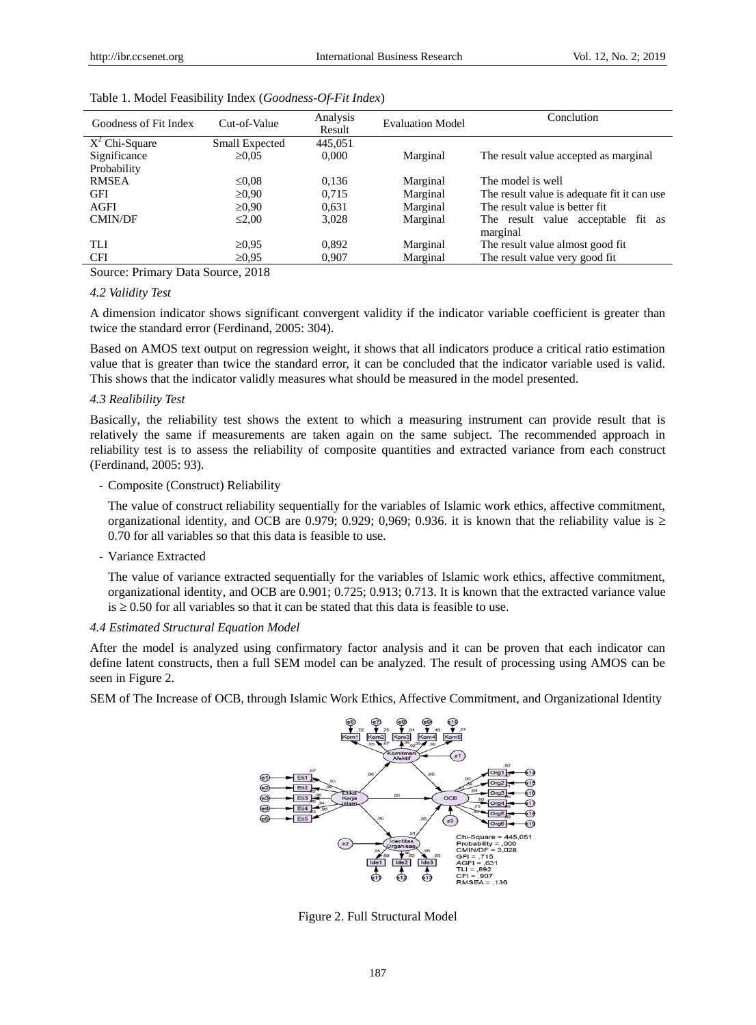| Goodness of Fit Index | Cut-of-Value   | Analysis<br>Result | <b>Evaluation Model</b> | Conclution                                  |  |
|-----------------------|----------------|--------------------|-------------------------|---------------------------------------------|--|
| $X^2$ Chi-Square      | Small Expected | 445,051            |                         |                                             |  |
| Significance          | $\geq 0.05$    | 0.000              | Marginal                | The result value accepted as marginal       |  |
| Probability           |                |                    |                         |                                             |  |
| <b>RMSEA</b>          | $\leq 0.08$    | 0.136              | Marginal                | The model is well                           |  |
| GFI                   | $\geq 0.90$    | 0.715              | Marginal                | The result value is adequate fit it can use |  |
| <b>AGFI</b>           | $\geq 0.90$    | 0.631              | Marginal                | The result value is better fit.             |  |
| <b>CMIN/DF</b>        | $\leq 2.00$    | 3,028              | Marginal                | The result value acceptable fit as          |  |
|                       |                |                    |                         | marginal                                    |  |
| TLI                   | $\geq 0.95$    | 0.892              | Marginal                | The result value almost good fit.           |  |
| <b>CFI</b>            | $\geq 0.95$    | 0,907              | Marginal                | The result value very good fit.             |  |

#### Table 1. Model Feasibility Index (*Goodness*-*Of-Fit Index*)

Source: Primary Data Source, 2018

# *4.2 Validity Test*

A dimension indicator shows significant convergent validity if the indicator variable coefficient is greater than twice the standard error (Ferdinand, 2005: 304).

Based on AMOS text output on regression weight, it shows that all indicators produce a critical ratio estimation value that is greater than twice the standard error, it can be concluded that the indicator variable used is valid. This shows that the indicator validly measures what should be measured in the model presented.

#### *4.3 Realibility Test*

Basically, the reliability test shows the extent to which a measuring instrument can provide result that is relatively the same if measurements are taken again on the same subject. The recommended approach in reliability test is to assess the reliability of composite quantities and extracted variance from each construct (Ferdinand, 2005: 93).

# - Composite (Construct) Reliability

The value of construct reliability sequentially for the variables of Islamic work ethics, affective commitment, organizational identity, and OCB are 0.979; 0.929; 0.969; 0.936. it is known that the reliability value is  $\geq$ 0.70 for all variables so that this data is feasible to use.

- Variance Extracted

The value of variance extracted sequentially for the variables of Islamic work ethics, affective commitment, organizational identity, and OCB are 0.901; 0.725; 0.913; 0.713. It is known that the extracted variance value  $is \geq 0.50$  for all variables so that it can be stated that this data is feasible to use.

## *4.4 Estimated Structural Equation Model*

After the model is analyzed using confirmatory factor analysis and it can be proven that each indicator can define latent constructs, then a full SEM model can be analyzed. The result of processing using AMOS can be seen in Figure 2.

SEM of The Increase of OCB, through Islamic Work Ethics, Affective Commitment, and Organizational Identity



Figure 2. Full Structural Model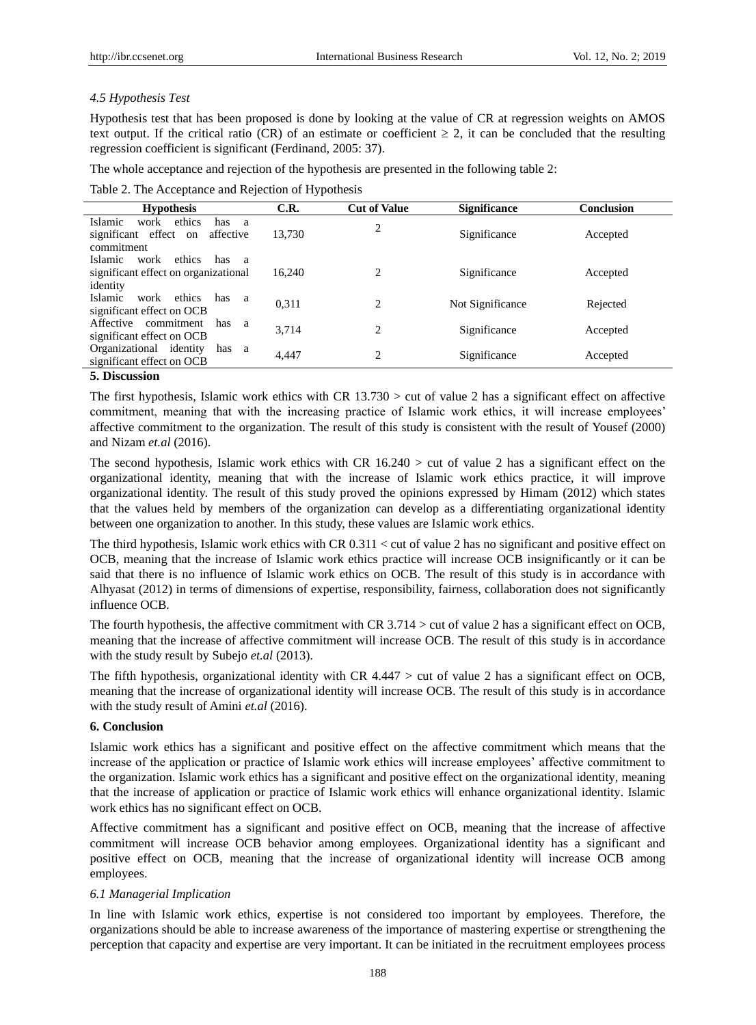## *4.5 Hypothesis Test*

Hypothesis test that has been proposed is done by looking at the value of CR at regression weights on AMOS text output. If the critical ratio (CR) of an estimate or coefficient  $\geq 2$ , it can be concluded that the resulting regression coefficient is significant (Ferdinand, 2005: 37).

The whole acceptance and rejection of the hypothesis are presented in the following table 2:

| Table 2. The Acceptance and Rejection of Hypothesis |  |
|-----------------------------------------------------|--|
|                                                     |  |

| <b>Hypothesis</b>                                                                                           | C.R.   | <b>Cut of Value</b> | <b>Significance</b> | <b>Conclusion</b> |
|-------------------------------------------------------------------------------------------------------------|--------|---------------------|---------------------|-------------------|
| Islamic<br>ethics<br>work<br>has<br>a<br>significant effect<br>affective<br>on<br>commitment                | 13,730 | 2                   | Significance        | Accepted          |
| ethics<br><b>Islamic</b><br>work<br>has<br><sub>a</sub><br>significant effect on organizational<br>identity | 16.240 | 2                   | Significance        | Accepted          |
| Islamic<br>ethics<br>work<br>has<br>a<br>significant effect on OCB                                          | 0,311  | $\overline{c}$      | Not Significance    | Rejected          |
| Affective commitment<br>has<br>a<br>significant effect on OCB                                               | 3.714  | $\overline{c}$      | Significance        | Accepted          |
| Organizational identity<br>has<br>- a<br>significant effect on OCB                                          | 4.447  | $\overline{c}$      | Significance        | Accepted          |
| <b>5. Discussion</b>                                                                                        |        |                     |                     |                   |

The first hypothesis, Islamic work ethics with CR 13.730 > cut of value 2 has a significant effect on affective commitment, meaning that with the increasing practice of Islamic work ethics, it will increase employees' affective commitment to the organization. The result of this study is consistent with the result of Yousef (2000)

# and Nizam *et.al* (2016).

The second hypothesis, Islamic work ethics with CR  $16.240 >$  cut of value 2 has a significant effect on the organizational identity, meaning that with the increase of Islamic work ethics practice, it will improve organizational identity. The result of this study proved the opinions expressed by Himam (2012) which states that the values held by members of the organization can develop as a differentiating organizational identity between one organization to another. In this study, these values are Islamic work ethics.

The third hypothesis, Islamic work ethics with CR 0.311 < cut of value 2 has no significant and positive effect on OCB, meaning that the increase of Islamic work ethics practice will increase OCB insignificantly or it can be said that there is no influence of Islamic work ethics on OCB. The result of this study is in accordance with Alhyasat (2012) in terms of dimensions of expertise, responsibility, fairness, collaboration does not significantly influence OCB.

The fourth hypothesis, the affective commitment with CR  $3.714 >$  cut of value 2 has a significant effect on OCB, meaning that the increase of affective commitment will increase OCB. The result of this study is in accordance with the study result by Subejo *et.al* (2013).

The fifth hypothesis, organizational identity with CR 4.447 > cut of value 2 has a significant effect on OCB, meaning that the increase of organizational identity will increase OCB. The result of this study is in accordance with the study result of Amini *et.al* (2016).

# **6. Conclusion**

Islamic work ethics has a significant and positive effect on the affective commitment which means that the increase of the application or practice of Islamic work ethics will increase employees' affective commitment to the organization. Islamic work ethics has a significant and positive effect on the organizational identity, meaning that the increase of application or practice of Islamic work ethics will enhance organizational identity. Islamic work ethics has no significant effect on OCB.

Affective commitment has a significant and positive effect on OCB, meaning that the increase of affective commitment will increase OCB behavior among employees. Organizational identity has a significant and positive effect on OCB, meaning that the increase of organizational identity will increase OCB among employees.

## *6.1 Managerial Implication*

In line with Islamic work ethics, expertise is not considered too important by employees. Therefore, the organizations should be able to increase awareness of the importance of mastering expertise or strengthening the perception that capacity and expertise are very important. It can be initiated in the recruitment employees process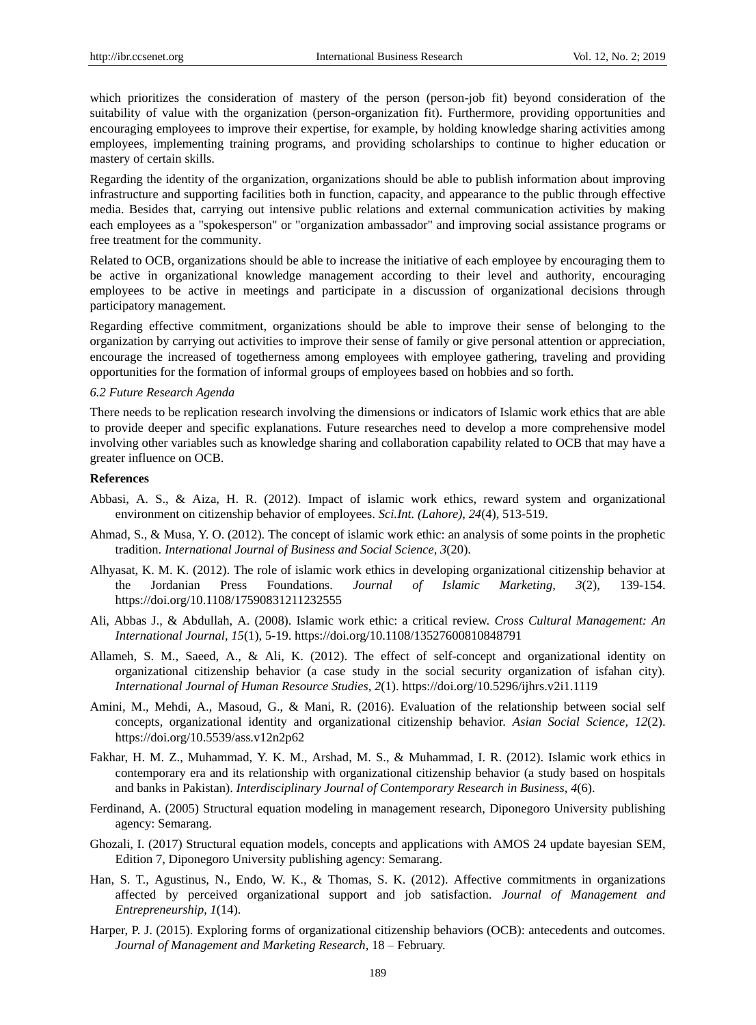which prioritizes the consideration of mastery of the person (person-job fit) beyond consideration of the suitability of value with the organization (person-organization fit). Furthermore, providing opportunities and encouraging employees to improve their expertise, for example, by holding knowledge sharing activities among employees, implementing training programs, and providing scholarships to continue to higher education or mastery of certain skills.

Regarding the identity of the organization, organizations should be able to publish information about improving infrastructure and supporting facilities both in function, capacity, and appearance to the public through effective media. Besides that, carrying out intensive public relations and external communication activities by making each employees as a "spokesperson" or "organization ambassador" and improving social assistance programs or free treatment for the community.

Related to OCB, organizations should be able to increase the initiative of each employee by encouraging them to be active in organizational knowledge management according to their level and authority, encouraging employees to be active in meetings and participate in a discussion of organizational decisions through participatory management.

Regarding effective commitment, organizations should be able to improve their sense of belonging to the organization by carrying out activities to improve their sense of family or give personal attention or appreciation, encourage the increased of togetherness among employees with employee gathering, traveling and providing opportunities for the formation of informal groups of employees based on hobbies and so forth.

## *6.2 Future Research Agenda*

There needs to be replication research involving the dimensions or indicators of Islamic work ethics that are able to provide deeper and specific explanations. Future researches need to develop a more comprehensive model involving other variables such as knowledge sharing and collaboration capability related to OCB that may have a greater influence on OCB.

## **References**

- Abbasi, A. S., & Aiza, H. R. (2012). Impact of islamic work ethics, reward system and organizational environment on citizenship behavior of employees. *Sci.Int. (Lahore)*, *24*(4), 513-519.
- Ahmad, S., & Musa, Y. O. (2012). The concept of islamic work ethic: an analysis of some points in the prophetic tradition. *International Journal of Business and Social Science, 3*(20).
- Alhyasat, K. M. K. (2012). The role of islamic work ethics in developing organizational citizenship behavior at the Jordanian Press Foundations. *Journal of Islamic Marketing, 3*(2), 139-154. https://doi.org/10.1108/17590831211232555
- Ali, Abbas J., & Abdullah, A. (2008). Islamic work ethic: a critical review. *Cross Cultural Management: An International Journal, 15*(1), 5-19. https://doi.org/10.1108/13527600810848791
- Allameh, S. M., Saeed, A., & Ali, K. (2012). The effect of self-concept and organizational identity on organizational citizenship behavior (a case study in the social security organization of isfahan city). *International Journal of Human Resource Studies*, *2*(1). https://doi.org/10.5296/ijhrs.v2i1.1119
- Amini, M., Mehdi, A., Masoud, G., & Mani, R. (2016). Evaluation of the relationship between social self concepts, organizational identity and organizational citizenship behavior. *Asian Social Science*, *12*(2). https://doi.org/10.5539/ass.v12n2p62
- Fakhar, H. M. Z., Muhammad, Y. K. M., Arshad, M. S., & Muhammad, I. R. (2012). Islamic work ethics in contemporary era and its relationship with organizational citizenship behavior (a study based on hospitals and banks in Pakistan). *Interdisciplinary Journal of Contemporary Research in Business, 4*(6).
- Ferdinand, A. (2005) Structural equation modeling in management research, Diponegoro University publishing agency: Semarang.
- Ghozali, I. (2017) Structural equation models, concepts and applications with AMOS 24 update bayesian SEM, Edition 7, Diponegoro University publishing agency: Semarang.
- Han, S. T., Agustinus, N., Endo, W. K., & Thomas, S. K. (2012). Affective commitments in organizations affected by perceived organizational support and job satisfaction. *Journal of Management and Entrepreneurship*, *1*(14).
- Harper, P. J. (2015). Exploring forms of organizational citizenship behaviors (OCB): antecedents and outcomes. *Journal of Management and Marketing Research*, 18 – February.